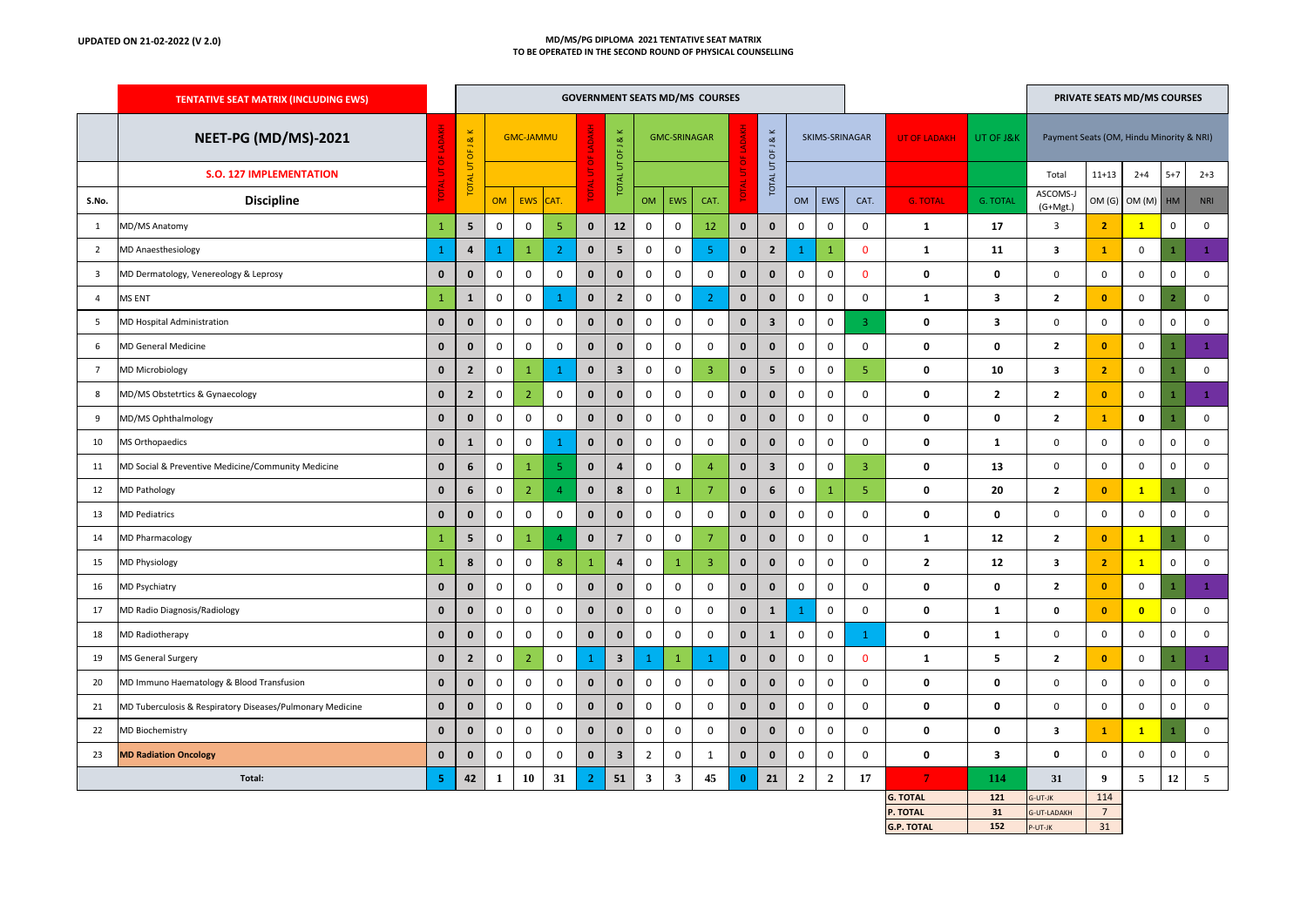## **UPDATED ON 21-02-2022 (V 2.0) MD/MS/PG DIPLOMA 2021 TENTATIVE SEAT MATRIX TO BE OPERATED IN THE SECOND ROUND OF PHYSICAL COUNSELLING**

|                         | <b>TENTATIVE SEAT MATRIX (INCLUDING EWS)</b>              |                    | <b>GOVERNMENT SEATS MD/MS COURSES</b> |                  |                     |                     |                    |                         |                     |              |                |                    |                         | PRIVATE SEATS MD/MS COURSES |                     |                         |                               |                         |                                          |                       |              |                     |                         |
|-------------------------|-----------------------------------------------------------|--------------------|---------------------------------------|------------------|---------------------|---------------------|--------------------|-------------------------|---------------------|--------------|----------------|--------------------|-------------------------|-----------------------------|---------------------|-------------------------|-------------------------------|-------------------------|------------------------------------------|-----------------------|--------------|---------------------|-------------------------|
|                         | NEET-PG (MD/MS)-2021                                      |                    | J & K<br>$\overline{\sigma}$          | <b>GMC-JAMMU</b> |                     |                     |                    | J & K<br>UT OF          | <b>GMC-SRINAGAR</b> |              |                |                    | J & K<br>UT OF          | SKIMS-SRINAGAR              |                     |                         | <b>UT OF LADAKH</b>           | UT OF J&K               | Payment Seats (OM, Hindu Minority & NRI) |                       |              |                     |                         |
|                         | <b>S.O. 127 IMPLEMENTATION</b>                            |                    | $\overline{5}$<br><b>TOTAL</b>        |                  |                     |                     |                    | <b>TOTAL</b>            |                     |              |                |                    | TOTAL <sub>I</sub>      |                             |                     |                         |                               |                         | Total                                    | $11 + 13$             | $2 + 4$      | $5 + 7$             | $2 + 3$                 |
| S.No.                   | <b>Discipline</b>                                         |                    |                                       | <b>OM</b>        | <b>EWS</b>          | CAT.                |                    |                         | <b>OM</b>           | EWS          | CAT.           |                    |                         | OM                          | <b>EWS</b>          | CAT.                    | <b>G. TOTAL</b>               | <b>G. TOTAL</b>         | ASCOMS-J<br>$(G+Mgt.)$                   | OM (G)                | OM (M)       | HM                  | <b>NRI</b>              |
| $\mathbf{1}$            | MD/MS Anatomy                                             | $\mathbf 1$        | 5                                     | $\mathsf 0$      | $\mathbf 0$         | $\sqrt{5}$          | $\mathbf 0$        | 12                      | $\mathbf 0$         | 0            | 12             | $\mathbf 0$        | $\mathbf 0$             | $\mathbf 0$                 | 0                   | $\mathbf 0$             | 1                             | 17                      | 3                                        | $\overline{2}$        | $\mathbf{1}$ | $\mathsf 0$         | $\pmb{0}$               |
| $\overline{2}$          | <b>MD Anaesthesiology</b>                                 | $\mathbf{1}$       | $\bf{4}$                              | 1                | $\mathbf 1$         | $\overline{2}$      | $\mathbf 0$        | $5\phantom{.0}$         | 0                   | 0            | 5              | $\mathbf 0$        | $\overline{2}$          |                             | $\mathbf{1}$        | $\mathbf 0$             | $\mathbf{1}$                  | 11                      | $\overline{\mathbf{3}}$                  | $\mathbf{1}$          | $\mathsf 0$  | $\mathbf{1}$        | $\mathbf{1}$            |
| $\overline{\mathbf{3}}$ | MD Dermatology, Venereology & Leprosy                     | $\mathbf 0$        | $\mathbf 0$                           | $\mathsf 0$      | $\mathbf 0$         | $\mathsf 0$         | $\mathbf 0$        | $\mathbf 0$             | $\mathbf 0$         | 0            | $\mathbf 0$    | $\mathbf 0$        | $\mathbf{0}$            | $\mathbf 0$                 | $\mathbf 0$         | $\mathbf 0$             | 0                             | $\mathbf 0$             | $\mathsf 0$                              | $\mathsf 0$           | 0            | $\mathbf 0$         | $\mathbf 0$             |
| $\overline{4}$          | MS ENT                                                    | $\mathbf{1}$       | $\mathbf{1}$                          | $\mathsf 0$      | $\mathbf 0$         | $\mathbf{1}$        | $\mathbf 0$        | $\overline{2}$          | $\mathbf 0$         | 0            | $\overline{2}$ | $\mathbf{0}$       | $\mathbf{0}$            | $\mathbf 0$                 | $\mathbf 0$         | $\mathbf 0$             | 1                             | $\overline{\mathbf{3}}$ | $\mathbf{2}$                             | $\mathbf{0}$          | 0            | $\overline{2}$      | $\mathsf{O}\xspace$     |
| 5                       | MD Hospital Administration                                | $\mathbf 0$        | $\mathbf 0$                           | $\mathbf 0$      | $\mathbf 0$         | 0                   | $\mathbf 0$        | $\mathbf 0$             | 0                   | 0            | 0              | $\mathbf 0$        | $\overline{\mathbf{3}}$ | 0                           | $\mathbf 0$         | $\overline{3}$          | 0                             | 3                       | 0                                        | $\mathbf 0$           | 0            | $\mathbf 0$         | $\mathsf 0$             |
| 6                       | <b>MD General Medicine</b>                                | $\mathbf 0$        | $\mathbf 0$                           | $\mathbf 0$      | $\mathbf 0$         | 0                   | $\mathbf 0$        | $\mathbf 0$             | $\mathbf 0$         | 0            | 0              | $\mathbf 0$        | $\mathbf 0$             | $\mathbf 0$                 | $\mathsf 0$         | $\mathbf 0$             | 0                             | 0                       | $\mathbf{2}$                             | $\mathbf{0}$          | 0            | $\mathbf{1}$        | $\mathbf{1}$            |
| $\overline{7}$          | <b>MD Microbiology</b>                                    | $\mathbf 0$        | $\overline{2}$                        | $\mathbf 0$      | $\mathbf 1$         | $\mathbf{1}$        | $\pmb{\mathsf{o}}$ | $\overline{\mathbf{3}}$ | 0                   | 0            | 3              | $\mathbf 0$        | 5                       | 0                           | 0                   | 5 <sub>1</sub>          | 0                             | 10                      | 3                                        | $\overline{2}$        | 0            |                     | $\mathbf 0$             |
| 8                       | MD/MS Obstetrtics & Gynaecology                           | $\mathbf 0$        | $\overline{2}$                        | $\mathbf 0$      | $\overline{2}$      | 0                   | $\mathbf 0$        | $\mathbf 0$             | 0                   | 0            | 0              | $\mathbf 0$        | $\mathbf 0$             | $\mathbf 0$                 | 0                   | $\mathbf 0$             | 0                             | $\overline{\mathbf{2}}$ | $\mathbf{2}$                             | $\mathbf{0}$          | 0            | $\mathbf{1}$        | $\,$ 1 $\,$             |
| 9                       | MD/MS Ophthalmology                                       | $\mathbf 0$        | $\mathbf 0$                           | $\mathbf 0$      | $\mathbf 0$         | 0                   | $\mathbf 0$        | $\mathbf 0$             | 0                   | 0            | 0              | $\mathbf 0$        | $\mathbf 0$             | 0                           | $\mathbf 0$         | $\mathbf 0$             | 0                             | 0                       | $\mathbf{2}$                             | $\mathbf{1}$          | 0            |                     | $\mathsf 0$             |
| 10                      | MS Orthopaedics                                           | $\pmb{0}$          | ${\bf 1}$                             | $\mathsf 0$      | $\mathsf{O}\xspace$ | $\mathbf{1}$        | $\pmb{\mathsf{o}}$ | $\pmb{0}$               | $\pmb{0}$           | 0            | $\mathsf 0$    | $\pmb{\mathsf{0}}$ | $\mathbf 0$             | $\mathbf 0$                 | $\mathsf{O}\xspace$ | $\mathsf 0$             | 0                             | $\mathbf{1}$            | $\pmb{0}$                                | $\mathsf 0$           | $\mathsf 0$  | $\mathbf 0$         | $\mathsf 0$             |
| 11                      | MD Social & Preventive Medicine/Community Medicine        | $\pmb{0}$          | 6                                     | $\mathsf 0$      | $\mathbf{1}$        | $\overline{5}$      | $\pmb{\mathsf{o}}$ | $\overline{\mathbf{4}}$ | $\pmb{0}$           | 0            | $\overline{4}$ | $\mathbf 0$        | $\mathbf{3}$            | $\mathbf 0$                 | 0                   | $\overline{\mathbf{3}}$ | 0                             | 13                      | $\mathsf{O}\xspace$                      | $\mathsf 0$           | 0            | $\mathbf 0$         | $\mathsf 0$             |
| 12                      | <b>MD Pathology</b>                                       | $\mathbf 0$        | 6                                     | $\mathsf 0$      | $\overline{2}$      | $\overline{4}$      | $\mathbf 0$        | 8                       | 0                   | $\mathbf{1}$ | $\overline{7}$ | $\mathbf 0$        | 6                       | 0                           | $\mathbf{1}$        | 5 <sup>°</sup>          | $\mathbf 0$                   | 20                      | $\mathbf{2}$                             | $\mathbf{0}$          | $\mathbf{1}$ | 1                   | $\mathbf 0$             |
| 13                      | <b>MD Pediatrics</b>                                      | $\mathbf 0$        | $\mathbf 0$                           | $\mathbf 0$      | $\mathbf 0$         | $\mathsf 0$         | $\mathbf 0$        | $\mathbf 0$             | $\mathbf 0$         | 0            | $\mathbf 0$    | $\mathbf 0$        | $\mathbf{0}$            | 0                           | $\mathbf 0$         | $\mathsf 0$             | 0                             | $\mathbf 0$             | $\mathsf 0$                              | $\mathsf 0$           | 0            | $\mathbf 0$         | $\mathbf 0$             |
| 14                      | MD Pharmacology                                           | $\mathbf{1}$       | 5                                     | $\mathsf 0$      | $\mathbf{1}$        | $\overline{4}$      | $\mathbf 0$        | $\overline{7}$          | $\mathbf 0$         | 0            | $\overline{7}$ | $\mathbf 0$        | $\mathbf{0}$            | $\mathbf 0$                 | 0                   | $\mathbf 0$             | 1                             | 12                      | $\overline{2}$                           | $\mathbf{0}$          | $\mathbf{1}$ | 1                   | $\mathbf 0$             |
| 15                      | <b>MD Physiology</b>                                      | $\mathbf{1}$       | 8                                     | $\mathbf 0$      | $\mathbf 0$         | 8                   | $\mathbf{1}$       | $\overline{\mathbf{4}}$ | 0                   | 1            | 3              | $\mathbf 0$        | $\mathbf 0$             | $\mathbf 0$                 | $\mathbf 0$         | $\mathbf 0$             | $\overline{2}$                | 12                      | 3                                        | $\overline{2}$        | $\mathbf{1}$ | $\mathsf 0$         | $\mathbf 0$             |
| 16                      | <b>MD Psychiatry</b>                                      | $\mathbf 0$        | $\mathbf 0$                           | $\mathbf 0$      | $\mathbf 0$         | 0                   | $\mathbf 0$        | $\mathbf 0$             | 0                   | 0            | 0              | $\mathbf 0$        | $\mathbf 0$             | $\mathbf 0$                 | $\mathsf 0$         | $\mathbf 0$             | 0                             | 0                       | $\mathbf{2}$                             | $\mathbf{0}$          | 0            | $\mathbf{1}$        | $\mathbf{1}$            |
| 17                      | MD Radio Diagnosis/Radiology                              | $\pmb{\mathsf{0}}$ | $\mathbf 0$                           | $\mathsf 0$      | 0                   | 0                   | $\pmb{0}$          | $\mathbf 0$             | 0                   | 0            | 0              | $\mathbf 0$        | $\mathbf{1}$            |                             | $\mathsf 0$         | $\pmb{0}$               | 0                             | 1                       | 0                                        | $\mathbf{0}$          | $\bullet$    | $\mathsf 0$         | $\mathsf 0$             |
| 18                      | MD Radiotherapy                                           | $\mathbf 0$        | $\mathbf 0$                           | $\mathsf 0$      | $\mathbf 0$         | 0                   | $\mathbf 0$        | $\mathbf 0$             | $\mathbf 0$         | 0            | 0              | $\mathbf 0$        | $\mathbf{1}$            | $\mathbf 0$                 | $\mathbf 0$         | $\mathbf{1}$            | 0                             | 1                       | 0                                        | $\mathsf 0$           | 0            | $\mathsf 0$         | $\mathbf 0$             |
| 19                      | MS General Surgery                                        | $\mathbf 0$        | $\overline{2}$                        | $\mathsf 0$      | $\overline{2}$      | $\mathsf 0$         |                    | $\overline{\mathbf{3}}$ |                     | $\mathbf{1}$ | -1             | $\mathbf 0$        | $\mathbf 0$             | $\mathbf 0$                 | $\mathbf 0$         | $\mathbf 0$             | 1                             | 5                       | $\mathbf{2}$                             | $\mathbf{0}$          | 0            | $\mathbf{1}$        | $\mathbf{1}$            |
| 20                      | MD Immuno Haematology & Blood Transfusion                 | $\mathbf 0$        | $\mathbf 0$                           | $\mathbf 0$      | 0                   | 0                   | $\mathbf 0$        | $\bf{0}$                | 0                   | 0            | 0              | $\mathbf 0$        | $\mathbf 0$             | 0                           | $\mathbf 0$         | $\mathbf 0$             | 0                             | 0                       | 0                                        | $\mathbf 0$           | 0            | $\mathsf{O}\xspace$ | $\mathbf 0$             |
| 21                      | MD Tuberculosis & Respiratory Diseases/Pulmonary Medicine | $\pmb{0}$          | $\mathbf 0$                           | $\mathsf 0$      | $\mathsf 0$         | $\mathsf{O}\xspace$ | $\mathbf 0$        | $\mathbf 0$             | 0                   | 0            | $\mathsf 0$    | $\mathbf 0$        | $\mathbf 0$             | $\mathsf{O}\xspace$         | $\pmb{0}$           | $\mathbf 0$             | 0                             | 0                       | $\pmb{0}$                                | 0                     | 0            | $\pmb{0}$           | $\mathsf 0$             |
| 22                      | <b>MD Biochemistry</b>                                    | $\pmb{\mathsf{0}}$ | $\mathbf 0$                           | $\mathsf 0$      | $\mathsf{O}\xspace$ | $\mathsf 0$         | $\pmb{0}$          | $\mathbf 0$             | 0                   | 0            | $\pmb{0}$      | $\pmb{\mathsf{0}}$ | $\mathbf 0$             | 0                           | $\pmb{0}$           | $\mathsf 0$             | $\mathbf 0$                   | $\pmb{0}$               | 3                                        | $\mathbf{1}$          | $\mathbf{1}$ | 1                   | $\mathsf 0$             |
| 23                      | <b>MD Radiation Oncology</b>                              | $\mathbf 0$        | $\mathbf 0$                           | $\mathbf 0$      | $\mathbf 0$         | 0                   | $\mathbf 0$        | $\overline{\mathbf{3}}$ | $\overline{2}$      | 0            | $\mathbf{1}$   | $\mathbf 0$        | $\mathbf{0}$            | 0                           | 0                   | $\mathsf 0$             | 0                             | $\overline{\mathbf{3}}$ | 0                                        | $\mathbf 0$           | 0            | $\mathbf 0$         | $\mathbf 0$             |
| Total:<br>$\sqrt{5}$    |                                                           |                    | 42                                    | $\mathbf{1}$     | 10                  | 31                  | $\overline{2}$     | 51                      | $\mathbf{3}$        | $\mathbf{3}$ | 45             | $\mathbf{0}$       | 21                      | $\overline{\mathbf{2}}$     | $\overline{2}$      | 17                      |                               | 114                     | 31                                       | $\boldsymbol{9}$      | 5            | 12                  | $\overline{\mathbf{5}}$ |
|                         |                                                           |                    |                                       |                  |                     |                     |                    |                         |                     |              |                |                    |                         |                             |                     |                         | <b>G. TOTAL</b>               | 121                     | G-UT-JK                                  | 114                   |              |                     |                         |
|                         |                                                           |                    |                                       |                  |                     |                     |                    |                         |                     |              |                |                    |                         |                             |                     |                         | P. TOTAL<br><b>G.P. TOTAL</b> | 31<br>152               | G-UT-LADAKH<br>P-UT-JK                   | $7\overline{ }$<br>31 |              |                     |                         |